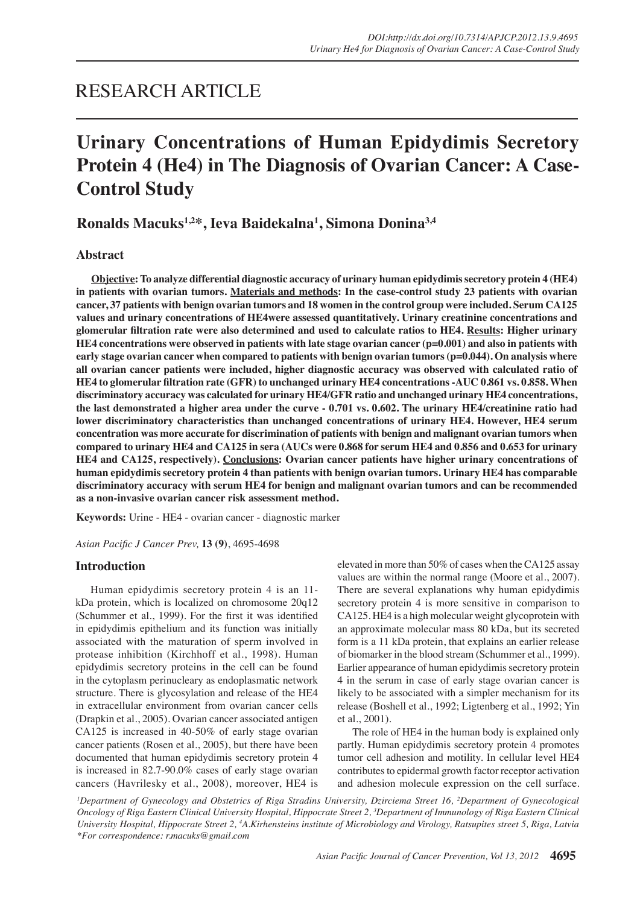# RESEARCH ARTICLE

# **Urinary Concentrations of Human Epidydimis Secretory Protein 4 (He4) in The Diagnosis of Ovarian Cancer: A Case-Control Study**

**Ronalds Macuks1,2\*, Ieva Baidekalna1 , Simona Donina3,4**

## **Abstract**

**Objective: To analyze differential diagnostic accuracy of urinary human epidydimis secretory protein 4 (HE4) in patients with ovarian tumors. Materials and methods: In the case-control study 23 patients with ovarian cancer, 37 patients with benign ovarian tumors and 18 women in the control group were included. Serum CA125 values and urinary concentrations of HE4were assessed quantitatively. Urinary creatinine concentrations and glomerular filtration rate were also determined and used to calculate ratios to HE4. Results: Higher urinary HE4 concentrations were observed in patients with late stage ovarian cancer (p=0.001) and also in patients with early stage ovarian cancer when compared to patients with benign ovarian tumors (p=0.044). On analysis where all ovarian cancer patients were included, higher diagnostic accuracy was observed with calculated ratio of HE4 to glomerular filtration rate (GFR) to unchanged urinary HE4 concentrations -AUC 0.861 vs. 0.858. When discriminatory accuracy was calculated for urinary HE4/GFR ratio and unchanged urinary HE4 concentrations, the last demonstrated a higher area under the curve - 0.701 vs. 0.602. The urinary HE4/creatinine ratio had lower discriminatory characteristics than unchanged concentrations of urinary HE4. However, HE4 serum concentration was more accurate for discrimination of patients with benign and malignant ovarian tumors when compared to urinary HE4 and CA125 in sera (AUCs were 0.868 for serum HE4 and 0.856 and 0.653 for urinary HE4 and CA125, respectively). Conclusions: Ovarian cancer patients have higher urinary concentrations of human epidydimis secretory protein 4 than patients with benign ovarian tumors. Urinary HE4 has comparable discriminatory accuracy with serum HE4 for benign and malignant ovarian tumors and can be recommended as a non-invasive ovarian cancer risk assessment method.** 

**Keywords:** Urine - HE4 - ovarian cancer - diagnostic marker

*Asian Pacific J Cancer Prev,* **13 (9)**, 4695-4698

## **Introduction**

Human epidydimis secretory protein 4 is an 11 kDa protein, which is localized on chromosome 20q12 (Schummer et al., 1999). For the first it was identified in epidydimis epithelium and its function was initially associated with the maturation of sperm involved in protease inhibition (Kirchhoff et al., 1998). Human epidydimis secretory proteins in the cell can be found in the cytoplasm perinucleary as endoplasmatic network structure. There is glycosylation and release of the HE4 in extracellular environment from ovarian cancer cells (Drapkin et al., 2005). Ovarian cancer associated antigen CA125 is increased in 40-50% of early stage ovarian cancer patients (Rosen et al., 2005), but there have been documented that human epidydimis secretory protein 4 is increased in 82.7-90.0% cases of early stage ovarian cancers (Havrilesky et al., 2008), moreover, HE4 is elevated in more than 50% of cases when the CA125 assay values are within the normal range (Moore et al., 2007). There are several explanations why human epidydimis secretory protein 4 is more sensitive in comparison to CA125. HE4 is a high molecular weight glycoprotein with an approximate molecular mass 80 kDa, but its secreted form is a 11 kDa protein, that explains an earlier release of biomarker in the blood stream (Schummer et al., 1999). Earlier appearance of human epidydimis secretory protein 4 in the serum in case of early stage ovarian cancer is likely to be associated with a simpler mechanism for its release (Boshell et al., 1992; Ligtenberg et al., 1992; Yin et al., 2001).

The role of HE4 in the human body is explained only partly. Human epidydimis secretory protein 4 promotes tumor cell adhesion and motility. In cellular level HE4 contributes to epidermal growth factor receptor activation and adhesion molecule expression on the cell surface.

<sup>*I*</sup>Department of Gynecology and Obstetrics of Riga Stradins University, Dzirciema Street 16, <sup>2</sup>Department of Gynecological Oncology of Riga Eastern Clinical University Hospital, Hippocrate Street 2, <sup>3</sup>Department of Immunology of Riga Eastern Clinical *University Hospital, Hippocrate Street 2, <sup>4</sup> A.Kirhensteins institute of Microbiology and Virology, Ratsupites street 5, Riga, Latvia \*For correspondence: r.macuks@gmail.com*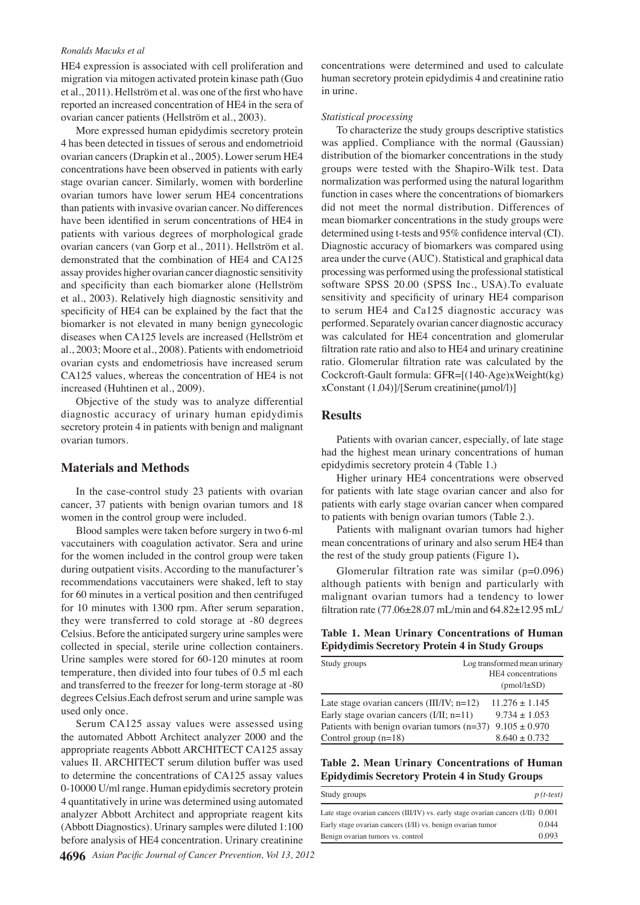#### *Ronalds Macuks et al*

HE4 expression is associated with cell proliferation and migration via mitogen activated protein kinase path (Guo et al., 2011). Hellström et al. was one of the first who have reported an increased concentration of HE4 in the sera of ovarian cancer patients (Hellström et al., 2003).

More expressed human epidydimis secretory protein 4 has been detected in tissues of serous and endometrioid ovarian cancers (Drapkin et al., 2005). Lower serum HE4 concentrations have been observed in patients with early stage ovarian cancer. Similarly, women with borderline ovarian tumors have lower serum HE4 concentrations than patients with invasive ovarian cancer. No differences have been identified in serum concentrations of HE4 in patients with various degrees of morphological grade ovarian cancers (van Gorp et al., 2011). Hellström et al. demonstrated that the combination of HE4 and CA125 assay provides higher ovarian cancer diagnostic sensitivity and specificity than each biomarker alone (Hellström et al., 2003). Relatively high diagnostic sensitivity and specificity of HE4 can be explained by the fact that the biomarker is not elevated in many benign gynecologic diseases when CA125 levels are increased (Hellström et al., 2003; Moore et al., 2008). Patients with endometrioid ovarian cysts and endometriosis have increased serum CA125 values, whereas the concentration of HE4 is not increased (Huhtinen et al., 2009).

Objective of the study was to analyze differential diagnostic accuracy of urinary human epidydimis secretory protein 4 in patients with benign and malignant ovarian tumors.

## **Materials and Methods**

In the case-control study 23 patients with ovarian cancer, 37 patients with benign ovarian tumors and 18 women in the control group were included.

Blood samples were taken before surgery in two 6-ml vaccutainers with coagulation activator. Sera and urine for the women included in the control group were taken during outpatient visits. According to the manufacturer's recommendations vaccutainers were shaked, left to stay for 60 minutes in a vertical position and then centrifuged for 10 minutes with 1300 rpm. After serum separation, they were transferred to cold storage at -80 degrees Celsius. Before the anticipated surgery urine samples were collected in special, sterile urine collection containers. Urine samples were stored for 60-120 minutes at room temperature, then divided into four tubes of 0.5 ml each and transferred to the freezer for long-term storage at -80 degrees Celsius.Each defrost serum and urine sample was used only once.

Serum CA125 assay values were assessed using the automated Abbott Architect analyzer 2000 and the appropriate reagents Abbott ARCHITECT CA125 assay values II. ARCHITECT serum dilution buffer was used to determine the concentrations of CA125 assay values 0-10000 U/ml range. Human epidydimis secretory protein 4 quantitatively in urine was determined using automated analyzer Abbott Architect and appropriate reagent kits (Abbott Diagnostics). Urinary samples were diluted 1:100 before analysis of HE4 concentration. Urinary creatinine

concentrations were determined and used to calculate human secretory protein epidydimis 4 and creatinine ratio in urine.

#### *Statistical processing*

To characterize the study groups descriptive statistics was applied. Compliance with the normal (Gaussian) distribution of the biomarker concentrations in the study groups were tested with the Shapiro-Wilk test. Data normalization was performed using the natural logarithm function in cases where the concentrations of biomarkers did not meet the normal distribution. Differences of mean biomarker concentrations in the study groups were determined using t-tests and 95% confidence interval (CI). Diagnostic accuracy of biomarkers was compared using area under the curve (AUC). Statistical and graphical data processing was performed using the professional statistical software SPSS 20.00 (SPSS Inc., USA).To evaluate sensitivity and specificity of urinary HE4 comparison to serum HE4 and Ca125 diagnostic accuracy was performed. Separately ovarian cancer diagnostic accuracy was calculated for HE4 concentration and glomerular filtration rate ratio and also to HE4 and urinary creatinine ratio. Glomerular filtration rate was calculated by the Cockcroft-Gault formula: GFR=[(140-Age)xWeight(kg) xConstant (1,04)]/[Serum creatinine(μmol/l)]

#### **Results**

Patients with ovarian cancer, especially, of late stage had the highest mean urinary concentrations of human epidydimis secretory protein 4 (Table 1.)

Higher urinary HE4 concentrations were observed for patients with late stage ovarian cancer and also for patients with early stage ovarian cancer when compared to patients with benign ovarian tumors (Table 2.).

Patients with malignant ovarian tumors had higher mean concentrations of urinary and also serum HE4 than the rest of the study group patients (Figure 1)**.**

Glomerular filtration rate was similar (p=0.096) although patients with benign and particularly with malignant ovarian tumors had a tendency to lower filtration rate (77.06±28.07 mL/min and 64.82±12.95 mL/

#### **Table 1. Mean Urinary Concentrations of Human Epidydimis Secretory Protein 4 in Study Groups**

| Study groups                                                     | Log transformed mean urinary<br>HE4 concentrations<br>$(pmol/l\pm SD)$ |
|------------------------------------------------------------------|------------------------------------------------------------------------|
| Late stage ovarian cancers (III/IV; n=12)                        | $11.276 \pm 1.145$                                                     |
| Early stage ovarian cancers $(I/II; n=11)$                       | $9.734 \pm 1.053$                                                      |
| Patients with benign ovarian tumors ( $n=37$ ) 9.105 $\pm$ 0.970 |                                                                        |
| Control group $(n=18)$                                           | $8.640 \pm 0.732$                                                      |

**Table 2. Mean Urinary Concentrations of Human Epidydimis Secretory Protein 4 in Study Groups**

| Study groups                                                                       | $p(t-test)$ |
|------------------------------------------------------------------------------------|-------------|
| Late stage ovarian cancers (III/IV) vs. early stage ovarian cancers (I/II) $0.001$ |             |
| Early stage ovarian cancers (I/II) vs. benign ovarian tumor                        | 0.044       |
| Benign ovarian tumors vs. control                                                  | 0.093       |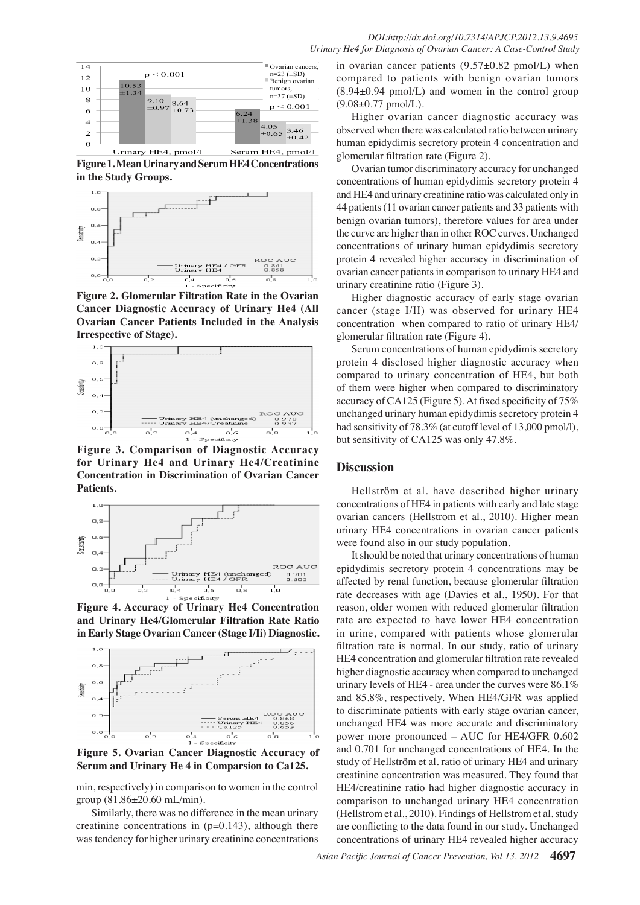

**Figure 1. Mean Urinary and Serum HE4 Concentrations in the Study Groups.** 



Ovarian Cancer Patients Included in the Analysis<sub>25.0</sub> **Figure 2. Glomerular Filtration Rate in the Ovarian Cancer Diagnostic Accuracy of Urinary He4 (All Irrespective of Stage).** 



**Figure 3. Comparison of Diagnostic Accuracy for Urinary He4 and Urinary He4/Creatinine Concentration in Discrimination of Ovarian Cancer Patients.** 



**Figure 4. Accuracy of Urinary He4 Concentration in Early Stage Ovarian Cancer (Stage I/Ii) Diagnostic.**



**Serum and Urinary He 4 in Comparsion to Ca125.** 

min, respectively) in comparison to women in the control group (81.86±20.60 mL/min).

Similarly, there was no difference in the mean urinary creatinine concentrations in  $(p=0.143)$ , although there was tendency for higher urinary creatinine concentrations

in ovarian cancer patients  $(9.57\pm0.82 \text{ pmol/L})$  when compared to patients with benign ovarian tumors  $(8.94\pm0.94 \text{ pmol/L})$  and women in the control group  $(9.08 \pm 0.77 \text{ pmol/L}).$ 

Higher ovarian cancer diagnostic accuracy was observed when there was calculated ratio between urinary human epidydimis secretory protein 4 concentration and glomerular filtration rate (Figure 2).

**75.0**the curve are higher than in other ROC curves. Unchanged 30.0 00.0 Out HE4 and urinary creatinine ratio was calculated only in **20.3 11 10.1 10.1 10.1 10.1 10.1 10.1 10.1 10.1 10.1 10.1 10.1 10.1 10.1 10.1 10.1 10.1 10.1 10.1 10.1 10.1 10.1 10.1 10.1 10.1 10.1 10.1 10.1 10.1 10.1 10.1** Ovarian tumor discriminatory accuracy for unchanged concentrations of human epidydimis secretory protein 4 benign ovarian tumors), therefore values for area under

50.Qurinary creatinine ratio (Figure<sup>3</sup>. protein 4 revealed **higher** accuracy in discrimination of concentrations of urinary human epidydimis secretory ovarian cancer patients in comparison to urinary HE4 and

ary creauning ratio (rigure 5).<br>Higher diagnostic accuracy of early stage ovarian 30.0 cancer (stage  $I/II$ ) was observed for urinary HE4 when compared to ratio of urinary HE4/ glomerular filtrations rote (Figure 4).

0 compared to urinary concentration of HE4, but both Newly giagnosis without treatment Newly diagnosed with treatment Persistence or recurrence Remission mertular filtratio**ns of the summan and <b>31.3**<br>Serum concentrations of heartan epidydimis secretory **30.0** protein 4 disclosed higher diagnostic accuracy when of them were higher when compared to discriminatory accuracy  $\tilde{f}$  CA125 (Figure 5). At fixed specificity of 75% unchange urinary human epid $\frac{1}{2}$ dimis se $\frac{1}{2}$ etory protein 4 had sensitivity of  $78\frac{3}{5}\%$  (at cute of 13,000 pmol/l), but sensite ity of CA125 was  $\frac{d}{dx}$ ly 47.8%.

# **Discussion**

Hellström et a $\hat{\xi}$  have described higher urinary concentrations of  $H\ddot{\mathbb{H}}$  in patients with early and late stage ovarian cancers (Hellstrom et al., 2010). Higher mean urinary HE4 concentrations in ovarian cancer patients were found also in our study population.

diagno:

Persiste

0 comparison to unchanged urinary HE4 concentration **Figure 5. Ovarian Cancer Diagnostic Accuracy of 5.0<sup>and 0.701</sup> for unchanged concentrations of HE4. In the** 50.0<sub>0</sub> discriminate patients with <sup>54</sup>a<sup>2</sup> stage ovarian cancer,<br>unchanged UE4 was group assumed and discriminatem: 30.0 75.0 **25.0 30.0** HE4 concentration and glomerular filtration rate revealed and Urinary He4/Glomerular Filtration Rate Ratik00.0 ate are expected to have lower HE4 concentration nosed without treatment liagnosed w節 treatfhent Persistence ar recurrence Remission in urine<sub>6.9</sub> ompared with patients whose glomerular urinary levels of HE4.8 area under the curves were 86.1%<br>and 85**.56.3** approximaly, Mihan HE4/CEB russ applied **25.0 27.6 33.1 31.3 30.0 23.7 38.0 31.3** creatinine concentration was measured. They found that It should be noted that urinary concentrations of human epidydimis secretory protein 4 concentrations may be affected by renal function, because glomerular filtration rate decreases with age (Davies et al., 1950). For that reason, older women with reduced glomerular filtration filtration rate is normal. In our study, ratio of urinary higher diagnostic accuracy when compared to unchanged and 85.8%, respectively. When HE4/GFR was applied unchanged HE4 was more accurate and discriminatory power more pronounced – AUC for HE4/GFR 0.602 study of Hellström<sub>38.0</sub>1 ratio of urinary HE4 and urinary HE4/creatinine ratio had higher diagnostic accuracy in (Hellstron get al.,  $20\frac{1}{2}$ ). Findings of Hells from et al. study are confligting to the data found in our study. Unchanged concentrations of urinary HE4, revealed sigher accuracy

None

**12.8**

None

lagnosed

hosed